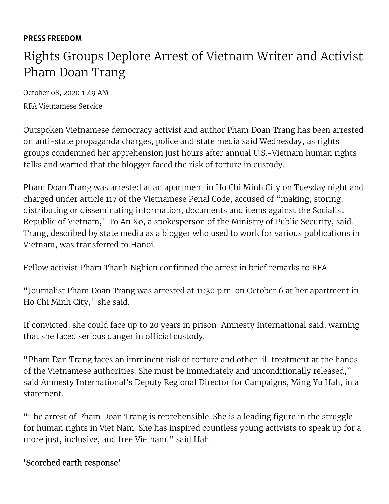#### PRESS [FREEDOM](https://www.voanews.com/z/5818)

# Rights Groups Deplore Arrest of Vietnam Writer and Activist Pham Doan Trang

October 08, 2020 1:49 AM [RFA Vietnamese Service](https://www.voanews.com/author/rfa-vietnamese-service/gj$yy)

Outspoken Vietnamese democracy activist and author Pham Doan Trang has been arrested on anti-state propaganda charges, police and state media said Wednesday, as rights groups condemned her apprehension just hours after annual U.S.-Vietnam human rights talks and warned that the blogger faced the risk of torture in custody.

Pham Doan Trang was arrested at an apartment in Ho Chi Minh City on Tuesday night and charged under article 117 of the Vietnamese Penal Code, accused of "making, storing, distributing or disseminating information, documents and items against the Socialist Republic of Vietnam," To An Xo, a spokesperson of the Ministry of Public Security, said. Trang, described by state media as a blogger who used to work for various publications in Vietnam, was transferred to Hanoi.

Fellow activist Pham Thanh Nghien confirmed the arrest in brief remarks to RFA.

"Journalist Pham Doan Trang was arrested at 11:30 p.m. on October 6 at her apartment in Ho Chi Minh City," she said.

If convicted, she could face up to 20 years in prison, Amnesty International said, warning that she faced serious danger in official custody.

"Pham Dan Trang faces an imminent risk of torture and other-ill treatment at the hands of the Vietnamese authorities. She must be immediately and unconditionally released," said Amnesty International's Deputy Regional Director for Campaigns, Ming Yu Hah, in a statement.

"The arrest of Pham Doan Trang is reprehensible. She is a leading figure in the struggle for human rights in Viet Nam. She has inspired countless young activists to speak up for a more just, inclusive, and free Vietnam," said Hah.

### 'Scorched earth response'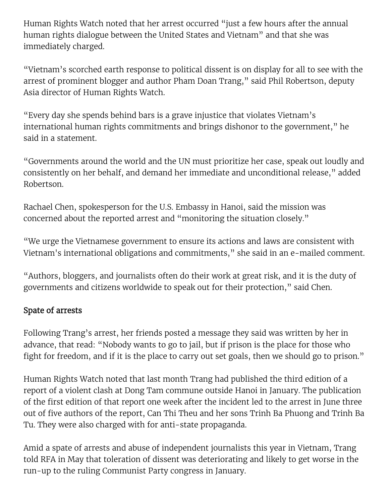Human Rights Watch noted that her arrest occurred "just a few hours after the annual human rights dialogue between the United States and Vietnam" and that she was immediately charged.

"Vietnam's scorched earth response to political dissent is on display for all to see with the arrest of prominent blogger and author Pham Doan Trang," said Phil Robertson, deputy Asia director of Human Rights Watch.

"Every day she spends behind bars is a grave injustice that violates Vietnam's international human rights commitments and brings dishonor to the government," he said in a statement.

"Governments around the world and the UN must prioritize her case, speak out loudly and consistently on her behalf, and demand her immediate and unconditional release," added Robertson.

Rachael Chen, spokesperson for the U.S. Embassy in Hanoi, said the mission was concerned about the reported arrest and "monitoring the situation closely."

"We urge the Vietnamese government to ensure its actions and laws are consistent with Vietnam's international obligations and commitments," she said in an e-mailed comment.

"Authors, bloggers, and journalists often do their work at great risk, and it is the duty of governments and citizens worldwide to speak out for their protection," said Chen.

### Spate of arrests

Following Trang's arrest, her friends posted a message they said was written by her in advance, that read: "Nobody wants to go to jail, but if prison is the place for those who fight for freedom, and if it is the place to carry out set goals, then we should go to prison."

Human Rights Watch noted that last month Trang had published the third edition of a report of a violent clash at Dong Tam commune outside Hanoi in January. The publication of the first edition of that report one week after the incident led to the arrest in June three out of five authors of the report, Can Thi Theu and her sons Trinh Ba Phuong and Trinh Ba Tu. They were also charged with for anti-state propaganda.

Amid a spate of arrests and abuse of independent journalists this year in Vietnam, Trang told RFA in May that toleration of dissent was deteriorating and likely to get worse in the run-up to the ruling Communist Party congress in January.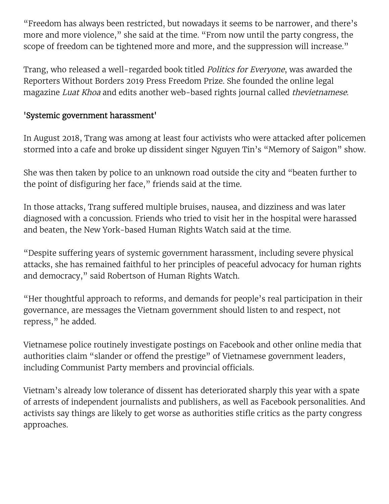"Freedom has always been restricted, but nowadays it seems to be narrower, and there's more and more violence," she said at the time. "From now until the party congress, the scope of freedom can be tightened more and more, and the suppression will increase."

Trang, who released a well-regarded book titled *Politics for Everyone*, was awarded the Reporters Without Borders 2019 Press Freedom Prize. She founded the online legal magazine Luat Khoa and edits another web-based rights journal called thevietnamese.

## 'Systemic government harassment'

In August 2018, Trang was among at least four activists who were attacked after policemen stormed into a cafe and broke up dissident singer Nguyen Tin's "Memory of Saigon" show.

She was then taken by police to an unknown road outside the city and "beaten further to the point of disfiguring her face," friends said at the time.

In those attacks, Trang suffered multiple bruises, nausea, and dizziness and was later diagnosed with a concussion. Friends who tried to visit her in the hospital were harassed and beaten, the New York-based Human Rights Watch said at the time.

"Despite suffering years of systemic government harassment, including severe physical attacks, she has remained faithful to her principles of peaceful advocacy for human rights and democracy," said Robertson of Human Rights Watch.

"Her thoughtful approach to reforms, and demands for people's real participation in their governance, are messages the Vietnam government should listen to and respect, not repress," he added.

Vietnamese police routinely investigate postings on Facebook and other online media that authorities claim "slander or offend the prestige" of Vietnamese government leaders, including Communist Party members and provincial officials.

Vietnam's already low tolerance of dissent has deteriorated sharply this year with a spate of arrests of independent journalists and publishers, as well as Facebook personalities. And activists say things are likely to get worse as authorities stifle critics as the party congress approaches.